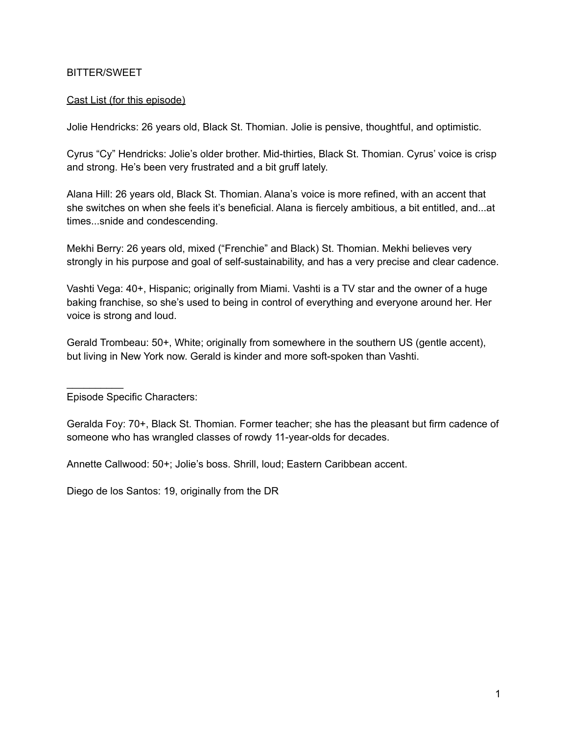## BITTER/SWEET

#### Cast List (for this episode)

Jolie Hendricks: 26 years old, Black St. Thomian. Jolie is pensive, thoughtful, and optimistic.

Cyrus "Cy" Hendricks: Jolie's older brother. Mid-thirties, Black St. Thomian. Cyrus' voice is crisp and strong. He's been very frustrated and a bit gruff lately.

Alana Hill: 26 years old, Black St. Thomian. Alana's voice is more refined, with an accent that she switches on when she feels it's beneficial. Alana is fiercely ambitious, a bit entitled, and...at times...snide and condescending.

Mekhi Berry: 26 years old, mixed ("Frenchie" and Black) St. Thomian. Mekhi believes very strongly in his purpose and goal of self-sustainability, and has a very precise and clear cadence.

Vashti Vega: 40+, Hispanic; originally from Miami. Vashti is a TV star and the owner of a huge baking franchise, so she's used to being in control of everything and everyone around her. Her voice is strong and loud.

Gerald Trombeau: 50+, White; originally from somewhere in the southern US (gentle accent), but living in New York now. Gerald is kinder and more soft-spoken than Vashti.

Episode Specific Characters:

 $\frac{1}{2}$  ,  $\frac{1}{2}$  ,  $\frac{1}{2}$  ,  $\frac{1}{2}$  ,  $\frac{1}{2}$  ,  $\frac{1}{2}$ 

Geralda Foy: 70+, Black St. Thomian. Former teacher; she has the pleasant but firm cadence of someone who has wrangled classes of rowdy 11-year-olds for decades.

Annette Callwood: 50+; Jolie's boss. Shrill, loud; Eastern Caribbean accent.

Diego de los Santos: 19, originally from the DR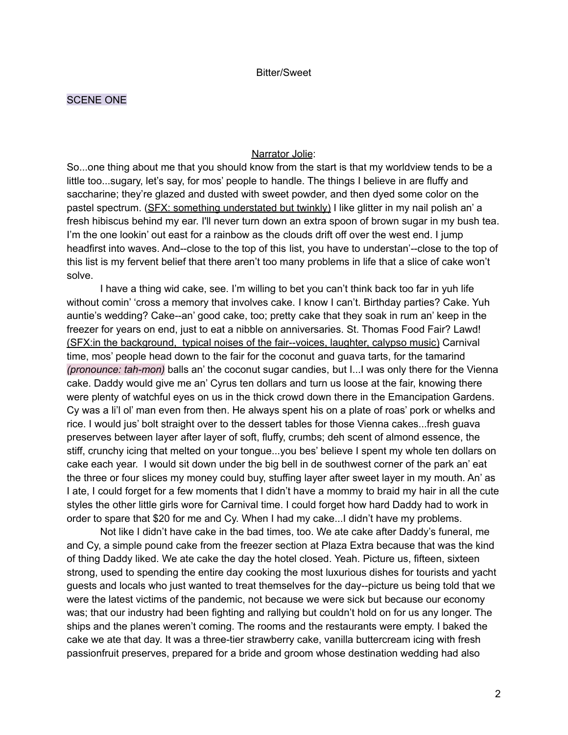#### SCENE ONE

#### Narrator Jolie:

So...one thing about me that you should know from the start is that my worldview tends to be a little too...sugary, let's say, for mos' people to handle. The things I believe in are fluffy and saccharine; they're glazed and dusted with sweet powder, and then dyed some color on the pastel spectrum. (SFX: something understated but twinkly) I like glitter in my nail polish an' a fresh hibiscus behind my ear. I'll never turn down an extra spoon of brown sugar in my bush tea. I'm the one lookin' out east for a rainbow as the clouds drift off over the west end. I jump headfirst into waves. And--close to the top of this list, you have to understan'--close to the top of this list is my fervent belief that there aren't too many problems in life that a slice of cake won't solve.

I have a thing wid cake, see. I'm willing to bet you can't think back too far in yuh life without comin' 'cross a memory that involves cake. I know I can't. Birthday parties? Cake. Yuh auntie's wedding? Cake--an' good cake, too; pretty cake that they soak in rum an' keep in the freezer for years on end, just to eat a nibble on anniversaries. St. Thomas Food Fair? Lawd! (SFX:in the background, typical noises of the fair--voices, laughter, calypso music) Carnival time, mos' people head down to the fair for the coconut and guava tarts, for the tamarind *(pronounce: tah-mon)* balls an' the coconut sugar candies, but I...I was only there for the Vienna cake. Daddy would give me an' Cyrus ten dollars and turn us loose at the fair, knowing there were plenty of watchful eyes on us in the thick crowd down there in the Emancipation Gardens. Cy was a li'l ol' man even from then. He always spent his on a plate of roas' pork or whelks and rice. I would jus' bolt straight over to the dessert tables for those Vienna cakes...fresh guava preserves between layer after layer of soft, fluffy, crumbs; deh scent of almond essence, the stiff, crunchy icing that melted on your tongue...you bes' believe I spent my whole ten dollars on cake each year. I would sit down under the big bell in de southwest corner of the park an' eat the three or four slices my money could buy, stuffing layer after sweet layer in my mouth. An' as I ate, I could forget for a few moments that I didn't have a mommy to braid my hair in all the cute styles the other little girls wore for Carnival time. I could forget how hard Daddy had to work in order to spare that \$20 for me and Cy. When I had my cake...I didn't have my problems.

Not like I didn't have cake in the bad times, too. We ate cake after Daddy's funeral, me and Cy, a simple pound cake from the freezer section at Plaza Extra because that was the kind of thing Daddy liked. We ate cake the day the hotel closed. Yeah. Picture us, fifteen, sixteen strong, used to spending the entire day cooking the most luxurious dishes for tourists and yacht guests and locals who just wanted to treat themselves for the day--picture us being told that we were the latest victims of the pandemic, not because we were sick but because our economy was; that our industry had been fighting and rallying but couldn't hold on for us any longer. The ships and the planes weren't coming. The rooms and the restaurants were empty. I baked the cake we ate that day. It was a three-tier strawberry cake, vanilla buttercream icing with fresh passionfruit preserves, prepared for a bride and groom whose destination wedding had also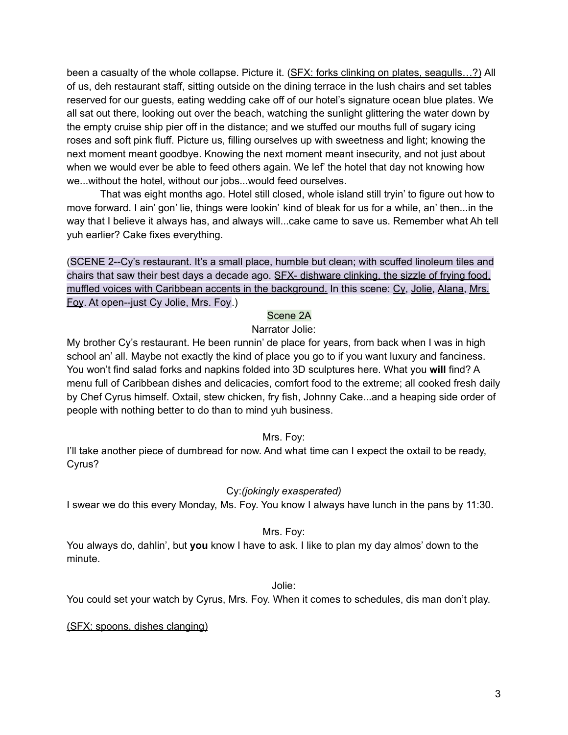been a casualty of the whole collapse. Picture it. (SFX: forks clinking on plates, seagulls...?) All of us, deh restaurant staff, sitting outside on the dining terrace in the lush chairs and set tables reserved for our guests, eating wedding cake off of our hotel's signature ocean blue plates. We all sat out there, looking out over the beach, watching the sunlight glittering the water down by the empty cruise ship pier off in the distance; and we stuffed our mouths full of sugary icing roses and soft pink fluff. Picture us, filling ourselves up with sweetness and light; knowing the next moment meant goodbye. Knowing the next moment meant insecurity, and not just about when we would ever be able to feed others again. We lef' the hotel that day not knowing how we...without the hotel, without our jobs...would feed ourselves.

That was eight months ago. Hotel still closed, whole island still tryin' to figure out how to move forward. I ain' gon' lie, things were lookin' kind of bleak for us for a while, an' then...in the way that I believe it always has, and always will...cake came to save us. Remember what Ah tell yuh earlier? Cake fixes everything.

(SCENE 2--Cy's restaurant. It's a small place, humble but clean; with scuffed linoleum tiles and chairs that saw their best days a decade ago. SFX- dishware clinking, the sizzle of frying food, muffled voices with Caribbean accents in the background. In this scene: Cy, Jolie, Alana, Mrs. Foy. At open--just Cy Jolie, Mrs. Foy.)

#### Scene 2A

## Narrator Jolie:

My brother Cy's restaurant. He been runnin' de place for years, from back when I was in high school an' all. Maybe not exactly the kind of place you go to if you want luxury and fanciness. You won't find salad forks and napkins folded into 3D sculptures here. What you **will** find? A menu full of Caribbean dishes and delicacies, comfort food to the extreme; all cooked fresh daily by Chef Cyrus himself. Oxtail, stew chicken, fry fish, Johnny Cake...and a heaping side order of people with nothing better to do than to mind yuh business.

## Mrs. Foy:

I'll take another piece of dumbread for now. And what time can I expect the oxtail to be ready, Cyrus?

#### Cy:*(jokingly exasperated)*

I swear we do this every Monday, Ms. Foy. You know I always have lunch in the pans by 11:30.

#### Mrs. Foy:

You always do, dahlin', but **you** know I have to ask. I like to plan my day almos' down to the minute.

#### Jolie:

You could set your watch by Cyrus, Mrs. Foy. When it comes to schedules, dis man don't play.

(SFX: spoons, dishes clanging)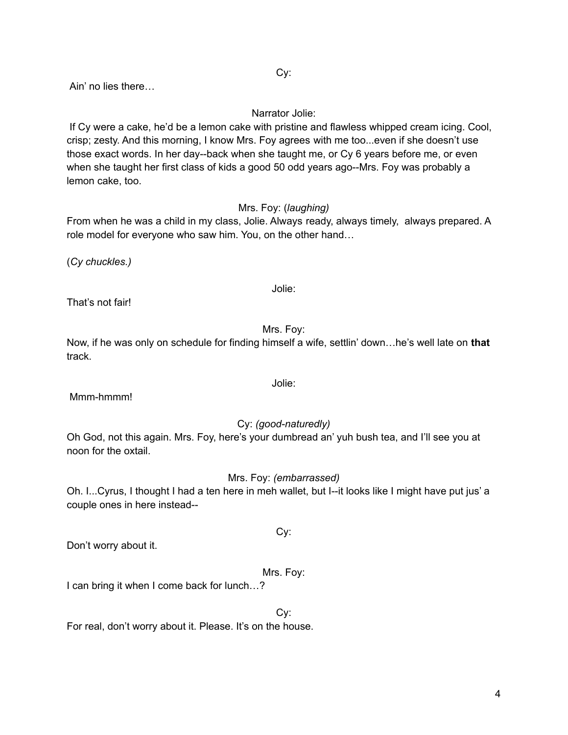Cy:

Ain' no lies there…

## Narrator Jolie:

If Cy were a cake, he'd be a lemon cake with pristine and flawless whipped cream icing. Cool, crisp; zesty. And this morning, I know Mrs. Foy agrees with me too...even if she doesn't use those exact words. In her day--back when she taught me, or Cy 6 years before me, or even when she taught her first class of kids a good 50 odd years ago--Mrs. Foy was probably a lemon cake, too.

## Mrs. Foy: (*laughing)*

From when he was a child in my class, Jolie. Always ready, always timely, always prepared. A role model for everyone who saw him. You, on the other hand…

(*Cy chuckles.)*

That's not fair!

Mrs. Foy:

Jolie:

Now, if he was only on schedule for finding himself a wife, settlin' down…he's well late on **that** track.

Mmm-hmmm!

## Cy: *(good-naturedly)*

Oh God, not this again. Mrs. Foy, here's your dumbread an' yuh bush tea, and I'll see you at noon for the oxtail.

Mrs. Foy: *(embarrassed)*

Oh. I...Cyrus, I thought I had a ten here in meh wallet, but I--it looks like I might have put jus' a couple ones in here instead--

Don't worry about it.

## Mrs. Foy:

Cy:

I can bring it when I come back for lunch…?

Cy:

For real, don't worry about it. Please. It's on the house.

# Jolie: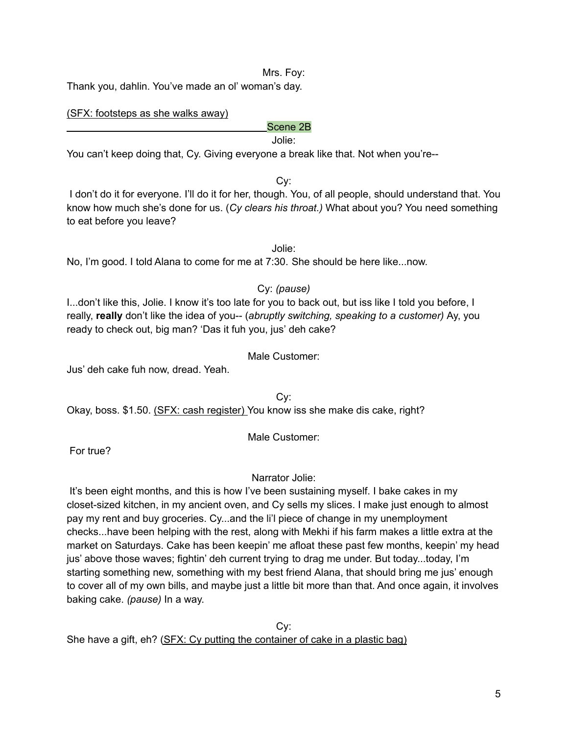Mrs. Foy:

Thank you, dahlin. You've made an ol' woman's day.

#### (SFX: footsteps as she walks away)

## Scene 2B

Jolie:

You can't keep doing that, Cy. Giving everyone a break like that. Not when you're--

Cy:

I don't do it for everyone. I'll do it for her, though. You, of all people, should understand that. You know how much she's done for us. (*Cy clears his throat.)* What about you? You need something to eat before you leave?

Jolie: No, I'm good. I told Alana to come for me at 7:30. She should be here like...now.

## Cy: *(pause)*

I...don't like this, Jolie. I know it's too late for you to back out, but iss like I told you before, I really, **really** don't like the idea of you-- (*abruptly switching, speaking to a customer)* Ay, you ready to check out, big man? 'Das it fuh you, jus' deh cake?

#### Male Customer:

Jus' deh cake fuh now, dread. Yeah.

Cy:

Okay, boss. \$1.50. (SFX: cash register) You know iss she make dis cake, right?

Male Customer:

For true?

## Narrator Jolie:

It's been eight months, and this is how I've been sustaining myself. I bake cakes in my closet-sized kitchen, in my ancient oven, and Cy sells my slices. I make just enough to almost pay my rent and buy groceries. Cy...and the li'l piece of change in my unemployment checks...have been helping with the rest, along with Mekhi if his farm makes a little extra at the market on Saturdays. Cake has been keepin' me afloat these past few months, keepin' my head jus' above those waves; fightin' deh current trying to drag me under. But today...today, I'm starting something new, something with my best friend Alana, that should bring me jus' enough to cover all of my own bills, and maybe just a little bit more than that. And once again, it involves baking cake. *(pause)* In a way.

Cy: She have a gift, eh? (SFX: Cy putting the container of cake in a plastic bag)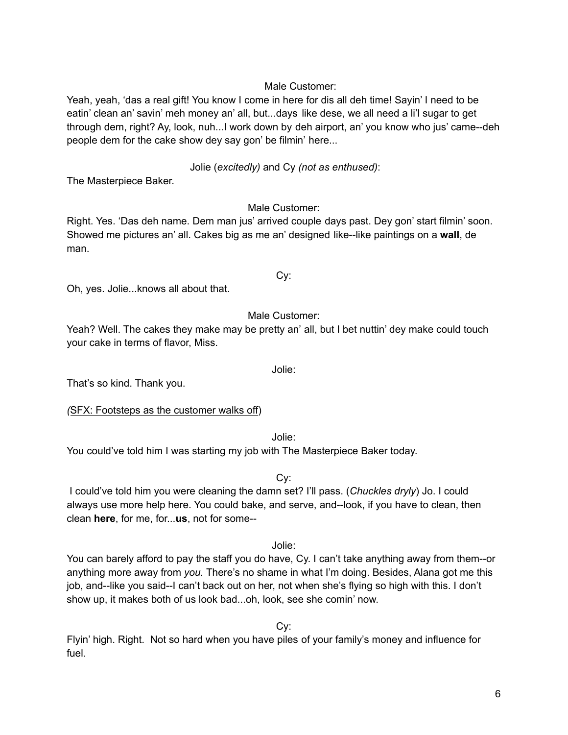## Male Customer:

Yeah, yeah, 'das a real gift! You know I come in here for dis all deh time! Sayin' I need to be eatin' clean an' savin' meh money an' all, but...days like dese, we all need a li'l sugar to get through dem, right? Ay, look, nuh...I work down by deh airport, an' you know who jus' came--deh people dem for the cake show dey say gon' be filmin' here...

#### Jolie (*excitedly)* and Cy *(not as enthused)*:

The Masterpiece Baker.

#### Male Customer:

Right. Yes. 'Das deh name. Dem man jus' arrived couple days past. Dey gon' start filmin' soon. Showed me pictures an' all. Cakes big as me an' designed like--like paintings on a **wall**, de man.

Oh, yes. Jolie...knows all about that.

Male Customer:

Cy:

Yeah? Well. The cakes they make may be pretty an' all, but I bet nuttin' dey make could touch your cake in terms of flavor, Miss.

Jolie:

That's so kind. Thank you.

*(*SFX: Footsteps as the customer walks off)

Jolie:

You could've told him I was starting my job with The Masterpiece Baker today.

Cy:

I could've told him you were cleaning the damn set? I'll pass. (*Chuckles dryly*) Jo. I could always use more help here. You could bake, and serve, and--look, if you have to clean, then clean **here**, for me, for...**us**, not for some--

Jolie:

You can barely afford to pay the staff you do have, Cy. I can't take anything away from them--or anything more away from *you.* There's no shame in what I'm doing. Besides, Alana got me this job, and--like you said--I can't back out on her, not when she's flying so high with this. I don't show up, it makes both of us look bad...oh, look, see she comin' now.

Cy:

Flyin' high. Right. Not so hard when you have piles of your family's money and influence for fuel.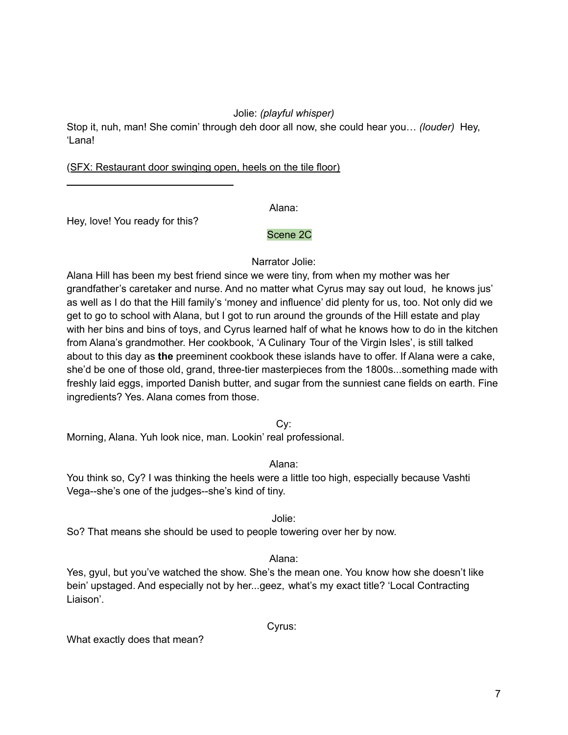## Jolie: *(playful whisper)*

Stop it, nuh, man! She comin' through deh door all now, she could hear you… *(louder)* Hey, 'Lana!

### (SFX: Restaurant door swinging open, heels on the tile floor)

Alana:

Hey, love! You ready for this?

## Scene 2C

Narrator Jolie:

Alana Hill has been my best friend since we were tiny, from when my mother was her grandfather's caretaker and nurse. And no matter what Cyrus may say out loud, he knows jus' as well as I do that the Hill family's 'money and influence' did plenty for us, too. Not only did we get to go to school with Alana, but I got to run around the grounds of the Hill estate and play with her bins and bins of toys, and Cyrus learned half of what he knows how to do in the kitchen from Alana's grandmother. Her cookbook, 'A Culinary Tour of the Virgin Isles', is still talked about to this day as **the** preeminent cookbook these islands have to offer. If Alana were a cake, she'd be one of those old, grand, three-tier masterpieces from the 1800s...something made with freshly laid eggs, imported Danish butter, and sugar from the sunniest cane fields on earth. Fine ingredients? Yes. Alana comes from those.

Cy:

Morning, Alana. Yuh look nice, man. Lookin' real professional.

Alana:

You think so, Cy? I was thinking the heels were a little too high, especially because Vashti Vega--she's one of the judges--she's kind of tiny.

Jolie:

So? That means she should be used to people towering over her by now.

Alana:

Yes, gyul, but you've watched the show. She's the mean one. You know how she doesn't like bein' upstaged. And especially not by her...geez, what's my exact title? 'Local Contracting Liaison'.

Cyrus:

What exactly does that mean?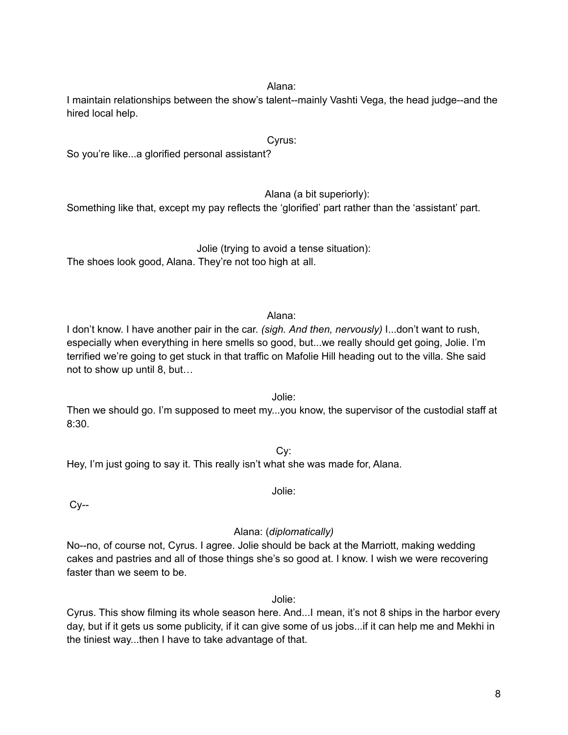#### Alana:

I maintain relationships between the show's talent--mainly Vashti Vega, the head judge--and the hired local help.

## Cyrus:

So you're like...a glorified personal assistant?

Alana (a bit superiorly):

Something like that, except my pay reflects the 'glorified' part rather than the 'assistant' part.

Jolie (trying to avoid a tense situation): The shoes look good, Alana. They're not too high at all.

#### Alana:

I don't know. I have another pair in the car. *(sigh. And then, nervously)* I...don't want to rush, especially when everything in here smells so good, but...we really should get going, Jolie. I'm terrified we're going to get stuck in that traffic on Mafolie Hill heading out to the villa. She said not to show up until 8, but…

#### Jolie:

Then we should go. I'm supposed to meet my...you know, the supervisor of the custodial staff at 8:30.

Cy: Hey, I'm just going to say it. This really isn't what she was made for, Alana.

 $Cy-$ 

#### Alana: (*diplomatically)*

Jolie:

No--no, of course not, Cyrus. I agree. Jolie should be back at the Marriott, making wedding cakes and pastries and all of those things she's so good at. I know. I wish we were recovering faster than we seem to be.

Jolie:

Cyrus. This show filming its whole season here. And...I mean, it's not 8 ships in the harbor every day, but if it gets us some publicity, if it can give some of us jobs...if it can help me and Mekhi in the tiniest way...then I have to take advantage of that.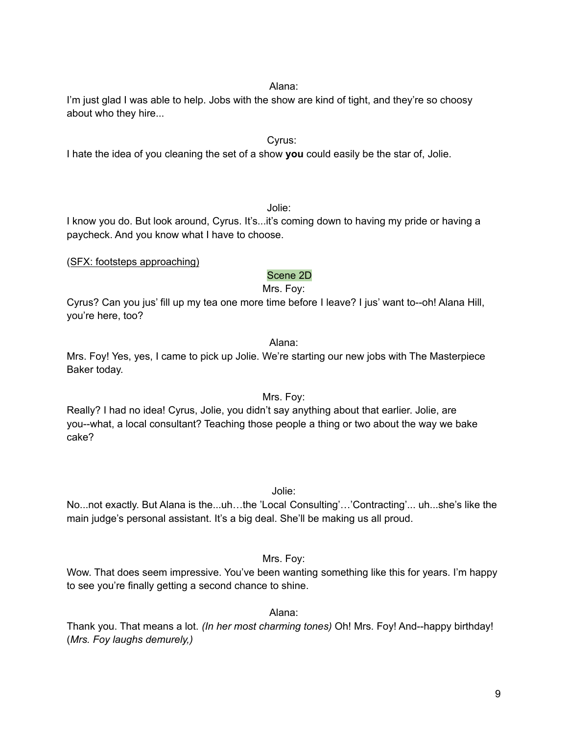#### Alana:

I'm just glad I was able to help. Jobs with the show are kind of tight, and they're so choosy about who they hire...

### Cyrus:

I hate the idea of you cleaning the set of a show **you** could easily be the star of, Jolie.

#### Jolie:

I know you do. But look around, Cyrus. It's...it's coming down to having my pride or having a paycheck. And you know what I have to choose.

(SFX: footsteps approaching)

## Scene 2D

Mrs. Foy:

Cyrus? Can you jus' fill up my tea one more time before I leave? I jus' want to--oh! Alana Hill, you're here, too?

#### Alana:

Mrs. Foy! Yes, yes, I came to pick up Jolie. We're starting our new jobs with The Masterpiece Baker today.

#### Mrs. Foy:

Really? I had no idea! Cyrus, Jolie, you didn't say anything about that earlier. Jolie, are you--what, a local consultant? Teaching those people a thing or two about the way we bake cake?

Jolie:

No...not exactly. But Alana is the...uh…the 'Local Consulting'…'Contracting'... uh...she's like the main judge's personal assistant. It's a big deal. She'll be making us all proud.

## Mrs. Foy:

Wow. That does seem impressive. You've been wanting something like this for years. I'm happy to see you're finally getting a second chance to shine.

#### Alana:

Thank you. That means a lot. *(In her most charming tones)* Oh! Mrs. Foy! And--happy birthday! (*Mrs. Foy laughs demurely,)*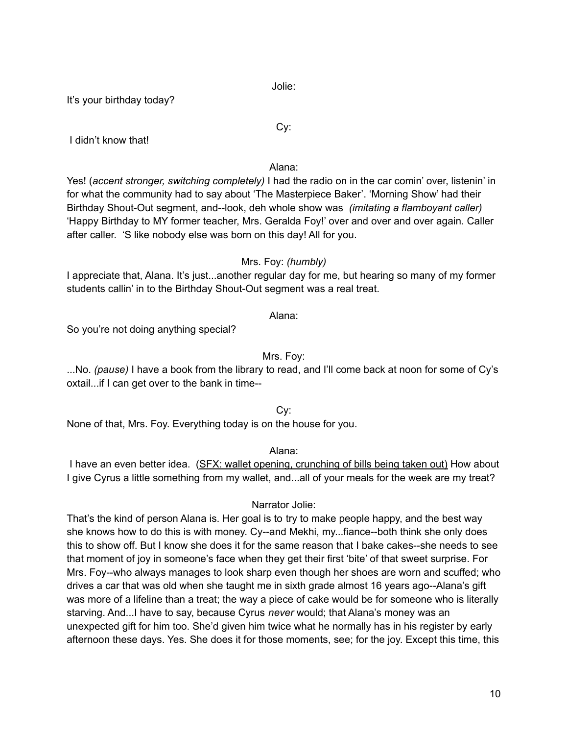Jolie:

It's your birthday today?

I didn't know that!

## Alana:

Cy:

Yes! (*accent stronger, switching completely)* I had the radio on in the car comin' over, listenin' in for what the community had to say about 'The Masterpiece Baker'. 'Morning Show' had their Birthday Shout-Out segment, and--look, deh whole show was *(imitating a flamboyant caller)* 'Happy Birthday to MY former teacher, Mrs. Geralda Foy!' over and over and over again. Caller after caller. 'S like nobody else was born on this day! All for you.

## Mrs. Foy: *(humbly)*

I appreciate that, Alana. It's just...another regular day for me, but hearing so many of my former students callin' in to the Birthday Shout-Out segment was a real treat.

## Alana:

So you're not doing anything special?

## Mrs. Foy:

...No. *(pause)* I have a book from the library to read, and I'll come back at noon for some of Cy's oxtail...if I can get over to the bank in time--

Cy:

None of that, Mrs. Foy. Everything today is on the house for you.

Alana:

I have an even better idea. (SFX: wallet opening, crunching of bills being taken out) How about I give Cyrus a little something from my wallet, and...all of your meals for the week are my treat?

## Narrator Jolie:

That's the kind of person Alana is. Her goal is to try to make people happy, and the best way she knows how to do this is with money. Cy--and Mekhi, my...fiance--both think she only does this to show off. But I know she does it for the same reason that I bake cakes--she needs to see that moment of joy in someone's face when they get their first 'bite' of that sweet surprise. For Mrs. Foy--who always manages to look sharp even though her shoes are worn and scuffed; who drives a car that was old when she taught me in sixth grade almost 16 years ago--Alana's gift was more of a lifeline than a treat; the way a piece of cake would be for someone who is literally starving. And...I have to say, because Cyrus *never* would; that Alana's money was an unexpected gift for him too. She'd given him twice what he normally has in his register by early afternoon these days. Yes. She does it for those moments, see; for the joy. Except this time, this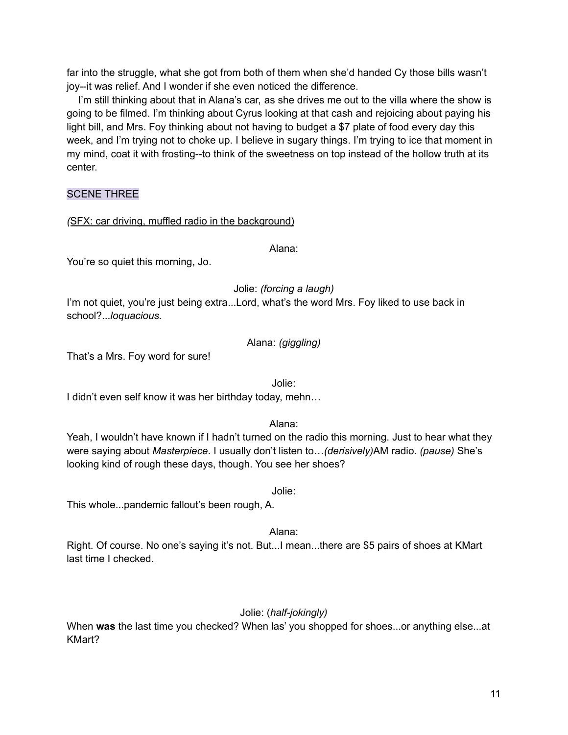far into the struggle, what she got from both of them when she'd handed Cy those bills wasn't joy--it was relief. And I wonder if she even noticed the difference.

I'm still thinking about that in Alana's car, as she drives me out to the villa where the show is going to be filmed. I'm thinking about Cyrus looking at that cash and rejoicing about paying his light bill, and Mrs. Foy thinking about not having to budget a \$7 plate of food every day this week, and I'm trying not to choke up. I believe in sugary things. I'm trying to ice that moment in my mind, coat it with frosting--to think of the sweetness on top instead of the hollow truth at its center.

## SCENE THREE

## *(*SFX: car driving, muffled radio in the background)

Alana:

You're so quiet this morning, Jo.

Jolie: *(forcing a laugh)*

I'm not quiet, you're just being extra...Lord, what's the word Mrs. Foy liked to use back in school?...*loquacious.*

## Alana: *(giggling)*

That's a Mrs. Foy word for sure!

Jolie:

I didn't even self know it was her birthday today, mehn…

Alana:

Yeah, I wouldn't have known if I hadn't turned on the radio this morning. Just to hear what they were saying about *Masterpiece*. I usually don't listen to…*(derisively)*AM radio. *(pause)* She's looking kind of rough these days, though. You see her shoes?

Jolie:

This whole...pandemic fallout's been rough, A.

Alana:

Right. Of course. No one's saying it's not. But...I mean...there are \$5 pairs of shoes at KMart last time I checked.

## Jolie: (*half-jokingly)*

When **was** the last time you checked? When las' you shopped for shoes...or anything else...at KMart?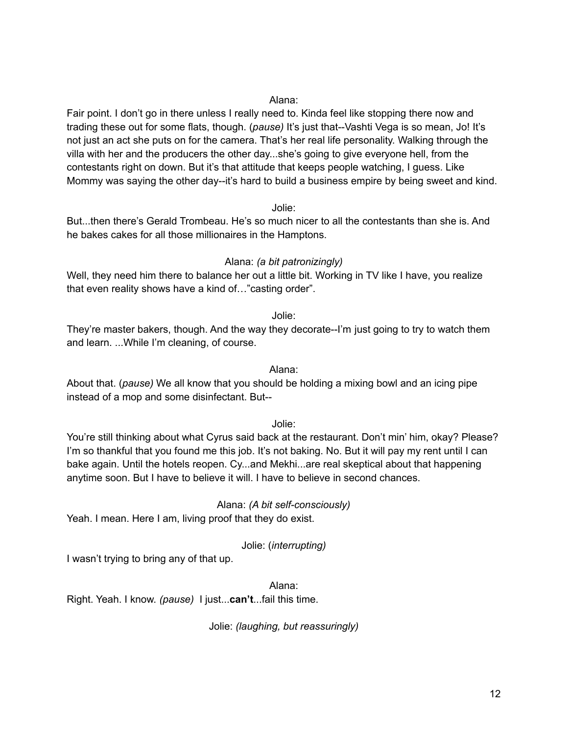#### Alana:

Fair point. I don't go in there unless I really need to. Kinda feel like stopping there now and trading these out for some flats, though. (*pause)* It's just that--Vashti Vega is so mean, Jo! It's not just an act she puts on for the camera. That's her real life personality. Walking through the villa with her and the producers the other day...she's going to give everyone hell, from the contestants right on down. But it's that attitude that keeps people watching, I guess. Like Mommy was saying the other day--it's hard to build a business empire by being sweet and kind.

Jolie:

But...then there's Gerald Trombeau. He's so much nicer to all the contestants than she is. And he bakes cakes for all those millionaires in the Hamptons.

#### Alana: *(a bit patronizingly)*

Well, they need him there to balance her out a little bit. Working in TV like I have, you realize that even reality shows have a kind of…"casting order".

Jolie:

They're master bakers, though. And the way they decorate--I'm just going to try to watch them and learn. ...While I'm cleaning, of course.

Alana:

About that. (*pause)* We all know that you should be holding a mixing bowl and an icing pipe instead of a mop and some disinfectant. But--

Jolie:

You're still thinking about what Cyrus said back at the restaurant. Don't min' him, okay? Please? I'm so thankful that you found me this job. It's not baking. No. But it will pay my rent until I can bake again. Until the hotels reopen. Cy...and Mekhi...are real skeptical about that happening anytime soon. But I have to believe it will. I have to believe in second chances.

#### Alana: *(A bit self-consciously)*

Yeah. I mean. Here I am, living proof that they do exist.

Jolie: (*interrupting)*

I wasn't trying to bring any of that up.

Alana:

Right. Yeah. I know. *(pause)* I just...**can't**...fail this time.

Jolie: *(laughing, but reassuringly)*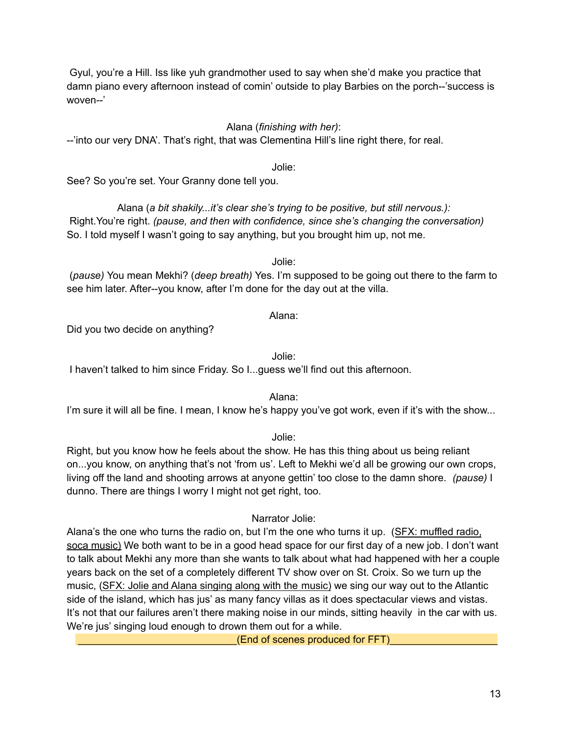Gyul, you're a Hill. Iss like yuh grandmother used to say when she'd make you practice that damn piano every afternoon instead of comin' outside to play Barbies on the porch--'success is woven--'

## Alana (*finishing with her)*:

--'into our very DNA'. That's right, that was Clementina Hill's line right there, for real.

Jolie:

See? So you're set. Your Granny done tell you.

Alana (*a bit shakily...it's clear she's trying to be positive, but still nervous.):* Right.You're right. *(pause, and then with confidence, since she's changing the conversation)* So. I told myself I wasn't going to say anything, but you brought him up, not me.

Jolie:

(*pause)* You mean Mekhi? (*deep breath)* Yes. I'm supposed to be going out there to the farm to see him later. After--you know, after I'm done for the day out at the villa.

## Alana:

Did you two decide on anything?

Jolie:

I haven't talked to him since Friday. So I...guess we'll find out this afternoon.

Alana:

I'm sure it will all be fine. I mean, I know he's happy you've got work, even if it's with the show...

Jolie:

Right, but you know how he feels about the show. He has this thing about us being reliant on...you know, on anything that's not 'from us'. Left to Mekhi we'd all be growing our own crops, living off the land and shooting arrows at anyone gettin' too close to the damn shore. *(pause)* I dunno. There are things I worry I might not get right, too.

Narrator Jolie:

Alana's the one who turns the radio on, but I'm the one who turns it up. (SFX: muffled radio, soca music) We both want to be in a good head space for our first day of a new job. I don't want to talk about Mekhi any more than she wants to talk about what had happened with her a couple years back on the set of a completely different TV show over on St. Croix. So we turn up the music, (SFX: Jolie and Alana singing along with the music) we sing our way out to the Atlantic side of the island, which has jus' as many fancy villas as it does spectacular views and vistas. It's not that our failures aren't there making noise in our minds, sitting heavily in the car with us. We're jus' singing loud enough to drown them out for a while.

(End of scenes produced for FFT)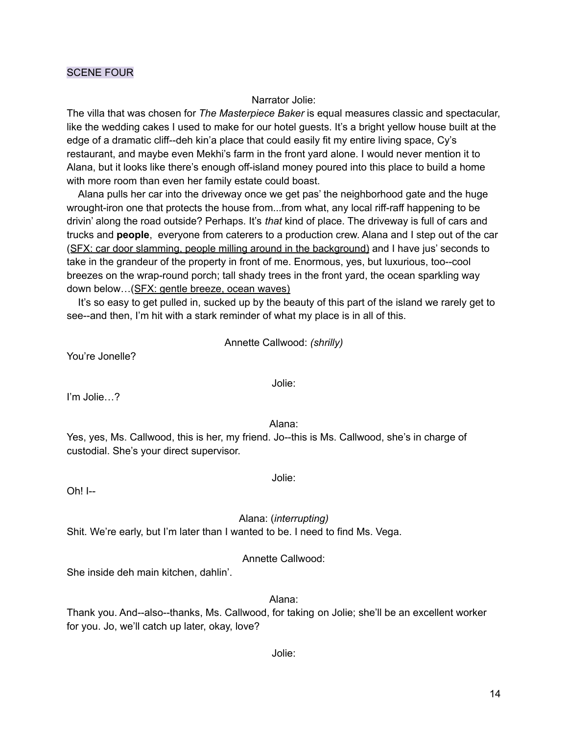### SCENE FOUR

#### Narrator Jolie:

The villa that was chosen for *The Masterpiece Baker* is equal measures classic and spectacular, like the wedding cakes I used to make for our hotel guests. It's a bright yellow house built at the edge of a dramatic cliff--deh kin'a place that could easily fit my entire living space, Cy's restaurant, and maybe even Mekhi's farm in the front yard alone. I would never mention it to Alana, but it looks like there's enough off-island money poured into this place to build a home with more room than even her family estate could boast.

Alana pulls her car into the driveway once we get pas' the neighborhood gate and the huge wrought-iron one that protects the house from...from what, any local riff-raff happening to be drivin' along the road outside? Perhaps. It's *that* kind of place. The driveway is full of cars and trucks and **people**, everyone from caterers to a production crew. Alana and I step out of the car (SFX: car door slamming, people milling around in the background) and I have jus' seconds to take in the grandeur of the property in front of me. Enormous, yes, but luxurious, too--cool breezes on the wrap-round porch; tall shady trees in the front yard, the ocean sparkling way down below…(SFX: gentle breeze, ocean waves)

It's so easy to get pulled in, sucked up by the beauty of this part of the island we rarely get to see--and then, I'm hit with a stark reminder of what my place is in all of this.

Annette Callwood: *(shrilly)*

You're Jonelle?

I'm Jolie…?

Alana:

Jolie:

Yes, yes, Ms. Callwood, this is her, my friend. Jo--this is Ms. Callwood, she's in charge of custodial. She's your direct supervisor.

Oh! I--

Alana: (*interrupting)*

Jolie:

Shit. We're early, but I'm later than I wanted to be. I need to find Ms. Vega.

Annette Callwood:

She inside deh main kitchen, dahlin'.

Alana:

Thank you. And--also--thanks, Ms. Callwood, for taking on Jolie; she'll be an excellent worker for you. Jo, we'll catch up later, okay, love?

Jolie: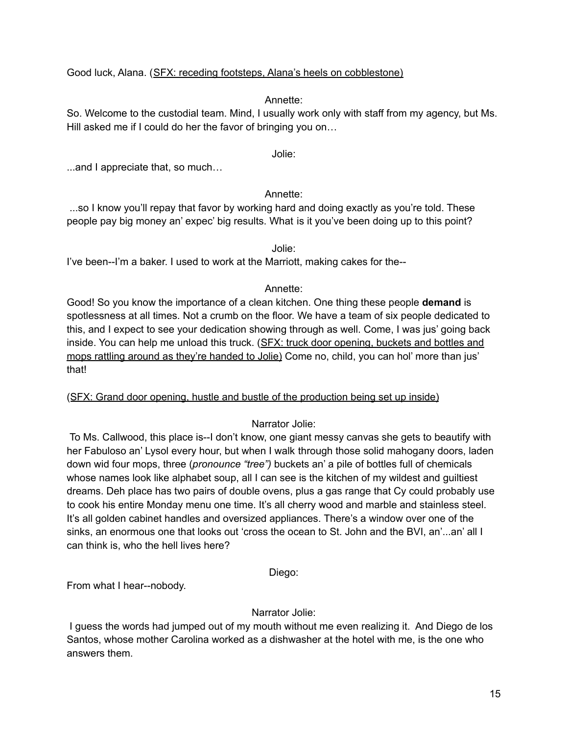## Good luck, Alana. (SFX: receding footsteps, Alana's heels on cobblestone)

## Annette:

So. Welcome to the custodial team. Mind, I usually work only with staff from my agency, but Ms. Hill asked me if I could do her the favor of bringing you on...

Jolie:

...and I appreciate that, so much…

## Annette:

...so I know you'll repay that favor by working hard and doing exactly as you're told. These people pay big money an' expec' big results. What is it you've been doing up to this point?

Jolie:

I've been--I'm a baker. I used to work at the Marriott, making cakes for the--

## Annette:

Good! So you know the importance of a clean kitchen. One thing these people **demand** is spotlessness at all times. Not a crumb on the floor. We have a team of six people dedicated to this, and I expect to see your dedication showing through as well. Come, I was jus' going back inside. You can help me unload this truck. (SFX: truck door opening, buckets and bottles and mops rattling around as they're handed to Jolie) Come no, child, you can hol' more than jus' that!

#### (SFX: Grand door opening, hustle and bustle of the production being set up inside)

Narrator Jolie:

To Ms. Callwood, this place is--I don't know, one giant messy canvas she gets to beautify with her Fabuloso an' Lysol every hour, but when I walk through those solid mahogany doors, laden down wid four mops, three (*pronounce "tree")* buckets an' a pile of bottles full of chemicals whose names look like alphabet soup, all I can see is the kitchen of my wildest and guiltiest dreams. Deh place has two pairs of double ovens, plus a gas range that Cy could probably use to cook his entire Monday menu one time. It's all cherry wood and marble and stainless steel. It's all golden cabinet handles and oversized appliances. There's a window over one of the sinks, an enormous one that looks out 'cross the ocean to St. John and the BVI, an'...an' all I can think is, who the hell lives here?

## Diego:

From what I hear--nobody.

## Narrator Jolie:

I guess the words had jumped out of my mouth without me even realizing it. And Diego de los Santos, whose mother Carolina worked as a dishwasher at the hotel with me, is the one who answers them.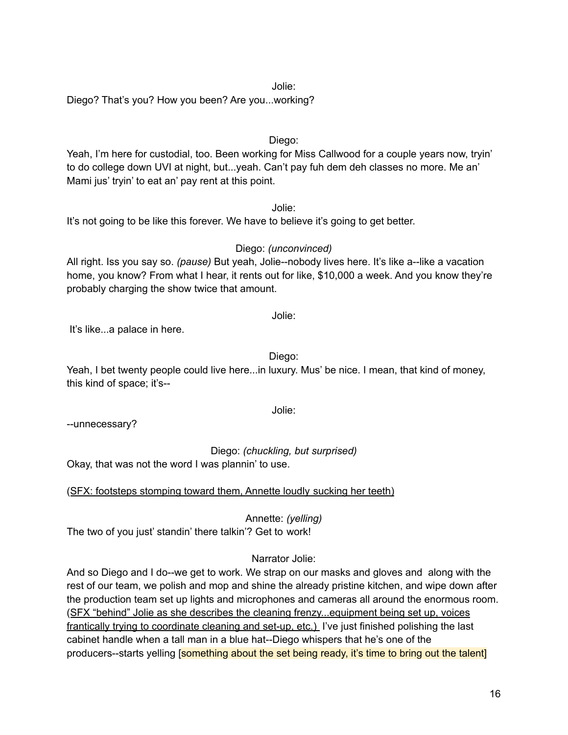#### Jolie:

Diego? That's you? How you been? Are you...working?

#### Diego:

Yeah, I'm here for custodial, too. Been working for Miss Callwood for a couple years now, tryin' to do college down UVI at night, but...yeah. Can't pay fuh dem deh classes no more. Me an' Mami jus' tryin' to eat an' pay rent at this point.

Jolie:

It's not going to be like this forever. We have to believe it's going to get better.

Diego: *(unconvinced)* All right. Iss you say so. *(pause)* But yeah, Jolie--nobody lives here. It's like a--like a vacation home, you know? From what I hear, it rents out for like, \$10,000 a week. And you know they're probably charging the show twice that amount.

It's like...a palace in here.

Diego:

Jolie:

Yeah, I bet twenty people could live here...in luxury. Mus' be nice. I mean, that kind of money, this kind of space; it's--

--unnecessary?

Diego: *(chuckling, but surprised)*

Okay, that was not the word I was plannin' to use.

(SFX: footsteps stomping toward them, Annette loudly sucking her teeth)

Annette: *(yelling)* The two of you just' standin' there talkin'? Get to work!

## Narrator Jolie:

And so Diego and I do--we get to work. We strap on our masks and gloves and along with the rest of our team, we polish and mop and shine the already pristine kitchen, and wipe down after the production team set up lights and microphones and cameras all around the enormous room. (SFX "behind" Jolie as she describes the cleaning frenzy...equipment being set up, voices frantically trying to coordinate cleaning and set-up, etc.) I've just finished polishing the last cabinet handle when a tall man in a blue hat--Diego whispers that he's one of the producers--starts yelling [something about the set being ready, it's time to bring out the talent]

Jolie: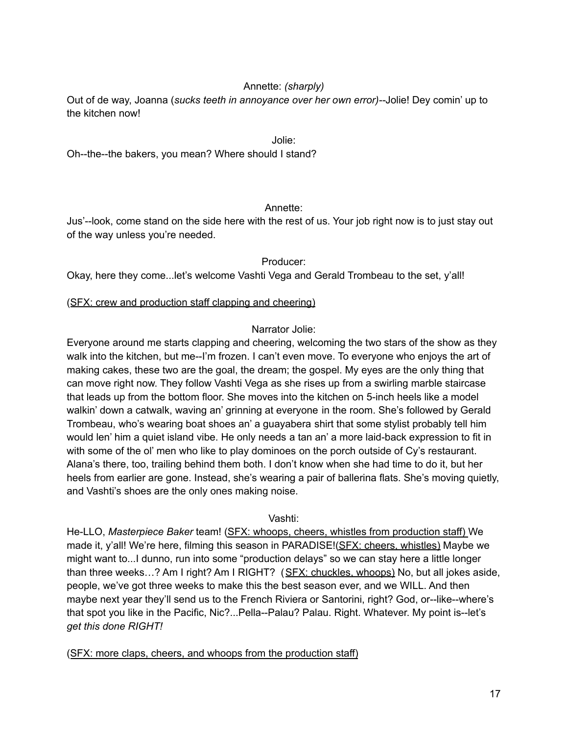## Annette: *(sharply)*

Out of de way, Joanna (*sucks teeth in annoyance over her own error)--*Jolie! Dey comin' up to the kitchen now!

#### Jolie:

Oh--the--the bakers, you mean? Where should I stand?

#### Annette:

Jus'--look, come stand on the side here with the rest of us. Your job right now is to just stay out of the way unless you're needed.

#### Producer:

Okay, here they come...let's welcome Vashti Vega and Gerald Trombeau to the set, y'all!

#### (SFX: crew and production staff clapping and cheering)

#### Narrator Jolie:

Everyone around me starts clapping and cheering, welcoming the two stars of the show as they walk into the kitchen, but me--I'm frozen. I can't even move. To everyone who enjoys the art of making cakes, these two are the goal, the dream; the gospel. My eyes are the only thing that can move right now. They follow Vashti Vega as she rises up from a swirling marble staircase that leads up from the bottom floor. She moves into the kitchen on 5-inch heels like a model walkin' down a catwalk, waving an' grinning at everyone in the room. She's followed by Gerald Trombeau, who's wearing boat shoes an' a guayabera shirt that some stylist probably tell him would len' him a quiet island vibe. He only needs a tan an' a more laid-back expression to fit in with some of the ol' men who like to play dominoes on the porch outside of Cy's restaurant. Alana's there, too, trailing behind them both. I don't know when she had time to do it, but her heels from earlier are gone. Instead, she's wearing a pair of ballerina flats. She's moving quietly, and Vashti's shoes are the only ones making noise.

#### Vashti:

He-LLO, *Masterpiece Baker* team! (SFX: whoops, cheers, whistles from production staff) We made it, y'all! We're here, filming this season in PARADISE!(SFX: cheers, whistles) Maybe we might want to...I dunno, run into some "production delays" so we can stay here a little longer than three weeks…? Am I right? Am I RIGHT? (SFX: chuckles, whoops) No, but all jokes aside, people, we've got three weeks to make this the best season ever, and we WILL. And then maybe next year they'll send us to the French Riviera or Santorini, right? God, or--like--where's that spot you like in the Pacific, Nic?...Pella--Palau? Palau. Right. Whatever. My point is--let's *get this done RIGHT!*

(SFX: more claps, cheers, and whoops from the production staff)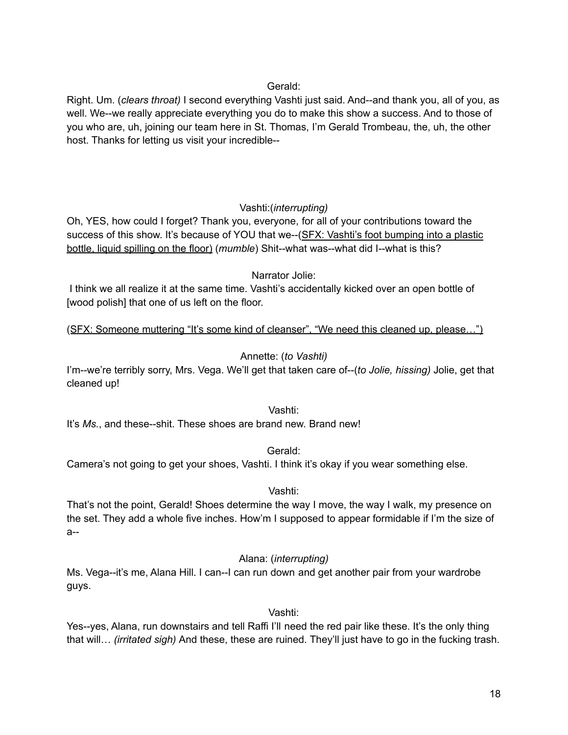## Gerald:

Right. Um. (*clears throat)* I second everything Vashti just said. And--and thank you, all of you, as well. We--we really appreciate everything you do to make this show a success. And to those of you who are, uh, joining our team here in St. Thomas, I'm Gerald Trombeau, the, uh, the other host. Thanks for letting us visit your incredible--

## Vashti:(*interrupting)*

Oh, YES, how could I forget? Thank you, everyone, for all of your contributions toward the success of this show. It's because of YOU that we--(SFX: Vashti's foot bumping into a plastic bottle, liquid spilling on the floor) (*mumble*) Shit--what was--what did I--what is this?

## Narrator Jolie:

I think we all realize it at the same time. Vashti's accidentally kicked over an open bottle of [wood polish] that one of us left on the floor.

(SFX: Someone muttering "It's some kind of cleanser", "We need this cleaned up, please…")

## Annette: (*to Vashti)*

I'm--we're terribly sorry, Mrs. Vega. We'll get that taken care of--(*to Jolie, hissing)* Jolie, get that cleaned up!

Vashti:

It's *Ms.*, and these--shit. These shoes are brand new. Brand new!

Gerald:

Camera's not going to get your shoes, Vashti. I think it's okay if you wear something else.

## Vashti:

That's not the point, Gerald! Shoes determine the way I move, the way I walk, my presence on the set. They add a whole five inches. How'm I supposed to appear formidable if I'm the size of a--

Alana: (*interrupting)*

Ms. Vega--it's me, Alana Hill. I can--I can run down and get another pair from your wardrobe guys.

Vashti:

Yes--yes, Alana, run downstairs and tell Raffi I'll need the red pair like these. It's the only thing that will… *(irritated sigh)* And these, these are ruined. They'll just have to go in the fucking trash.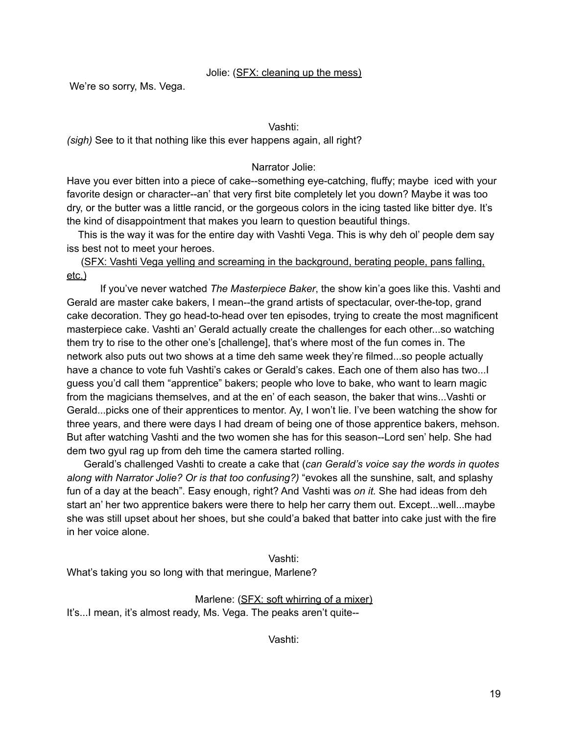#### Jolie: (SFX: cleaning up the mess)

We're so sorry, Ms. Vega.

#### Vashti:

*(sigh)* See to it that nothing like this ever happens again, all right?

Narrator Jolie:

Have you ever bitten into a piece of cake--something eye-catching, fluffy; maybe iced with your favorite design or character--an' that very first bite completely let you down? Maybe it was too dry, or the butter was a little rancid, or the gorgeous colors in the icing tasted like bitter dye. It's the kind of disappointment that makes you learn to question beautiful things.

This is the way it was for the entire day with Vashti Vega. This is why deh ol' people dem say iss best not to meet your heroes.

(SFX: Vashti Vega yelling and screaming in the background, berating people, pans falling, etc.)

If you've never watched *The Masterpiece Baker*, the show kin'a goes like this. Vashti and Gerald are master cake bakers, I mean--the grand artists of spectacular, over-the-top, grand cake decoration. They go head-to-head over ten episodes, trying to create the most magnificent masterpiece cake. Vashti an' Gerald actually create the challenges for each other...so watching them try to rise to the other one's [challenge], that's where most of the fun comes in. The network also puts out two shows at a time deh same week they're filmed...so people actually have a chance to vote fuh Vashti's cakes or Gerald's cakes. Each one of them also has two... I guess you'd call them "apprentice" bakers; people who love to bake, who want to learn magic from the magicians themselves, and at the en' of each season, the baker that wins...Vashti or Gerald...picks one of their apprentices to mentor. Ay, I won't lie. I've been watching the show for three years, and there were days I had dream of being one of those apprentice bakers, mehson. But after watching Vashti and the two women she has for this season--Lord sen' help. She had dem two gyul rag up from deh time the camera started rolling.

Gerald's challenged Vashti to create a cake that (*can Gerald's voice say the words in quotes along with Narrator Jolie? Or is that too confusing?)* "evokes all the sunshine, salt, and splashy fun of a day at the beach". Easy enough, right? And Vashti was *on it.* She had ideas from deh start an' her two apprentice bakers were there to help her carry them out. Except...well...maybe she was still upset about her shoes, but she could'a baked that batter into cake just with the fire in her voice alone.

#### Vashti:

What's taking you so long with that meringue, Marlene?

Marlene: (SFX: soft whirring of a mixer) It's...I mean, it's almost ready, Ms. Vega. The peaks aren't quite--

Vashti: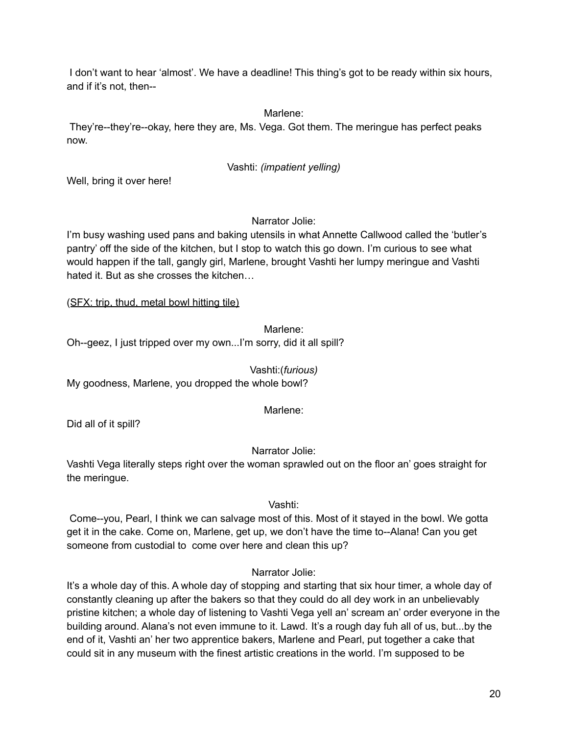I don't want to hear 'almost'. We have a deadline! This thing's got to be ready within six hours, and if it's not, then--

Marlene:

They're--they're--okay, here they are, Ms. Vega. Got them. The meringue has perfect peaks now.

## Vashti: *(impatient yelling)*

Well, bring it over here!

Narrator Jolie:

I'm busy washing used pans and baking utensils in what Annette Callwood called the 'butler's pantry' off the side of the kitchen, but I stop to watch this go down. I'm curious to see what would happen if the tall, gangly girl, Marlene, brought Vashti her lumpy meringue and Vashti hated it. But as she crosses the kitchen…

(SFX: trip, thud, metal bowl hitting tile)

Marlene<sup>.</sup>

Oh--geez, I just tripped over my own...I'm sorry, did it all spill?

Vashti:(*furious)* My goodness, Marlene, you dropped the whole bowl?

Marlene:

Did all of it spill?

Narrator Jolie:

Vashti Vega literally steps right over the woman sprawled out on the floor an' goes straight for the meringue.

Vashti:

Come--you, Pearl, I think we can salvage most of this. Most of it stayed in the bowl. We gotta get it in the cake. Come on, Marlene, get up, we don't have the time to--Alana! Can you get someone from custodial to come over here and clean this up?

## Narrator Jolie:

It's a whole day of this. A whole day of stopping and starting that six hour timer, a whole day of constantly cleaning up after the bakers so that they could do all dey work in an unbelievably pristine kitchen; a whole day of listening to Vashti Vega yell an' scream an' order everyone in the building around. Alana's not even immune to it. Lawd. It's a rough day fuh all of us, but...by the end of it, Vashti an' her two apprentice bakers, Marlene and Pearl, put together a cake that could sit in any museum with the finest artistic creations in the world. I'm supposed to be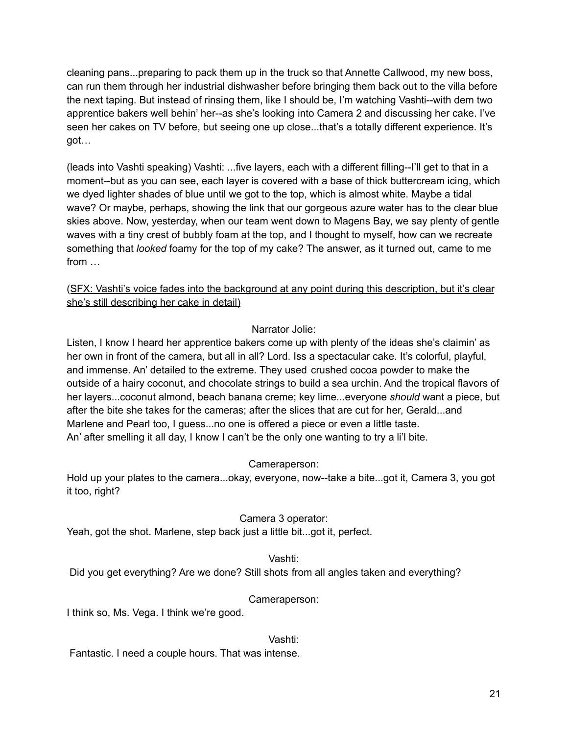cleaning pans...preparing to pack them up in the truck so that Annette Callwood, my new boss, can run them through her industrial dishwasher before bringing them back out to the villa before the next taping. But instead of rinsing them, like I should be, I'm watching Vashti--with dem two apprentice bakers well behin' her--as she's looking into Camera 2 and discussing her cake. I've seen her cakes on TV before, but seeing one up close...that's a totally different experience. It's got…

(leads into Vashti speaking) Vashti: ...five layers, each with a different filling--I'll get to that in a moment--but as you can see, each layer is covered with a base of thick buttercream icing, which we dyed lighter shades of blue until we got to the top, which is almost white. Maybe a tidal wave? Or maybe, perhaps, showing the link that our gorgeous azure water has to the clear blue skies above. Now, yesterday, when our team went down to Magens Bay, we say plenty of gentle waves with a tiny crest of bubbly foam at the top, and I thought to myself, how can we recreate something that *looked* foamy for the top of my cake? The answer, as it turned out, came to me from …

(SFX: Vashti's voice fades into the background at any point during this description, but it's clear she's still describing her cake in detail)

## Narrator Jolie:

Listen, I know I heard her apprentice bakers come up with plenty of the ideas she's claimin' as her own in front of the camera, but all in all? Lord. Iss a spectacular cake. It's colorful, playful, and immense. An' detailed to the extreme. They used crushed cocoa powder to make the outside of a hairy coconut, and chocolate strings to build a sea urchin. And the tropical flavors of her layers...coconut almond, beach banana creme; key lime...everyone *should* want a piece, but after the bite she takes for the cameras; after the slices that are cut for her, Gerald...and Marlene and Pearl too, I guess...no one is offered a piece or even a little taste. An' after smelling it all day, I know I can't be the only one wanting to try a li'l bite.

#### Cameraperson:

Hold up your plates to the camera...okay, everyone, now--take a bite...got it, Camera 3, you got it too, right?

## Camera 3 operator:

Yeah, got the shot. Marlene, step back just a little bit...got it, perfect.

#### Vashti:

Did you get everything? Are we done? Still shots from all angles taken and everything?

## Cameraperson:

I think so, Ms. Vega. I think we're good.

#### Vashti:

Fantastic. I need a couple hours. That was intense.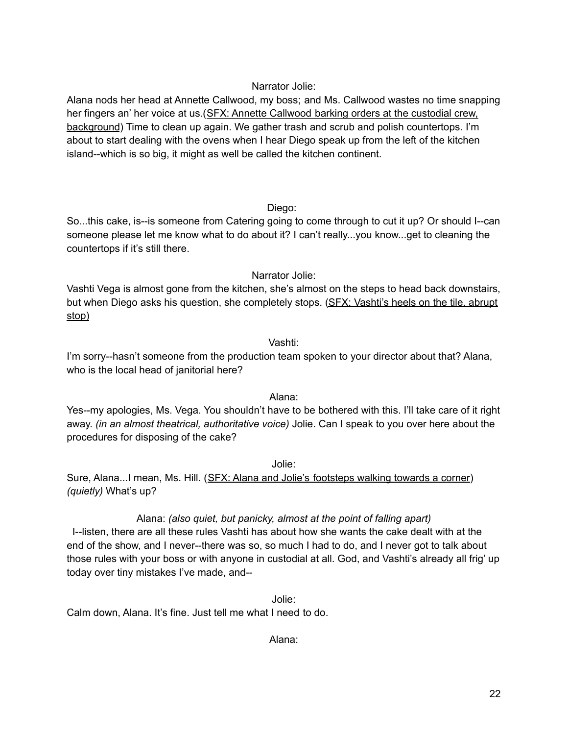## Narrator Jolie:

Alana nods her head at Annette Callwood, my boss; and Ms. Callwood wastes no time snapping her fingers an' her voice at us.(SFX: Annette Callwood barking orders at the custodial crew, background) Time to clean up again. We gather trash and scrub and polish countertops. I'm about to start dealing with the ovens when I hear Diego speak up from the left of the kitchen island--which is so big, it might as well be called the kitchen continent.

## Diego:

So...this cake, is--is someone from Catering going to come through to cut it up? Or should I--can someone please let me know what to do about it? I can't really...you know...get to cleaning the countertops if it's still there.

## Narrator Jolie:

Vashti Vega is almost gone from the kitchen, she's almost on the steps to head back downstairs, but when Diego asks his question, she completely stops. (SFX: Vashti's heels on the tile, abrupt stop)

## Vashti:

I'm sorry--hasn't someone from the production team spoken to your director about that? Alana, who is the local head of janitorial here?

## Alana:

Yes--my apologies, Ms. Vega. You shouldn't have to be bothered with this. I'll take care of it right away. *(in an almost theatrical, authoritative voice)* Jolie. Can I speak to you over here about the procedures for disposing of the cake?

Jolie:

Sure, Alana...I mean, Ms. Hill. (SFX: Alana and Jolie's footsteps walking towards a corner) *(quietly)* What's up?

## Alana: *(also quiet, but panicky, almost at the point of falling apart)*

I--listen, there are all these rules Vashti has about how she wants the cake dealt with at the end of the show, and I never--there was so, so much I had to do, and I never got to talk about those rules with your boss or with anyone in custodial at all. God, and Vashti's already all frig' up today over tiny mistakes I've made, and--

Jolie:

Calm down, Alana. It's fine. Just tell me what I need to do.

Alana: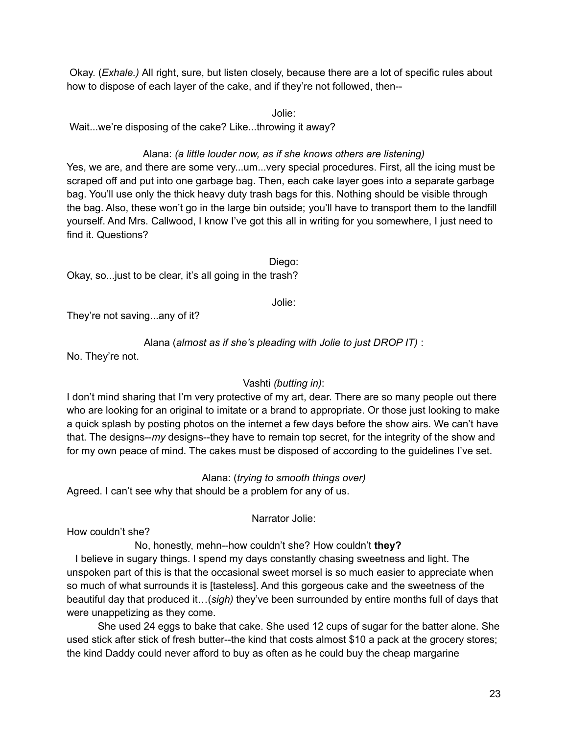Okay. (*Exhale.)* All right, sure, but listen closely, because there are a lot of specific rules about how to dispose of each layer of the cake, and if they're not followed, then--

Jolie:

Wait...we're disposing of the cake? Like...throwing it away?

## Alana: *(a little louder now, as if she knows others are listening)*

Yes, we are, and there are some very...um...very special procedures. First, all the icing must be scraped off and put into one garbage bag. Then, each cake layer goes into a separate garbage bag. You'll use only the thick heavy duty trash bags for this. Nothing should be visible through the bag. Also, these won't go in the large bin outside; you'll have to transport them to the landfill yourself. And Mrs. Callwood, I know I've got this all in writing for you somewhere, I just need to find it. Questions?

Diego: Okay, so...just to be clear, it's all going in the trash?

Jolie:

They're not saving...any of it?

Alana (*almost as if she's pleading with Jolie to just DROP IT)* :

No. They're not.

## Vashti *(butting in)*:

I don't mind sharing that I'm very protective of my art, dear. There are so many people out there who are looking for an original to imitate or a brand to appropriate. Or those just looking to make a quick splash by posting photos on the internet a few days before the show airs. We can't have that. The designs--*my* designs--they have to remain top secret, for the integrity of the show and for my own peace of mind. The cakes must be disposed of according to the guidelines I've set.

Alana: (*trying to smooth things over)*

Agreed. I can't see why that should be a problem for any of us.

Narrator Jolie:

How couldn't she?

No, honestly, mehn--how couldn't she? How couldn't **they?**

I believe in sugary things. I spend my days constantly chasing sweetness and light. The unspoken part of this is that the occasional sweet morsel is so much easier to appreciate when so much of what surrounds it is [tasteless]. And this gorgeous cake and the sweetness of the beautiful day that produced it…(*sigh)* they've been surrounded by entire months full of days that were unappetizing as they come.

She used 24 eggs to bake that cake. She used 12 cups of sugar for the batter alone. She used stick after stick of fresh butter--the kind that costs almost \$10 a pack at the grocery stores; the kind Daddy could never afford to buy as often as he could buy the cheap margarine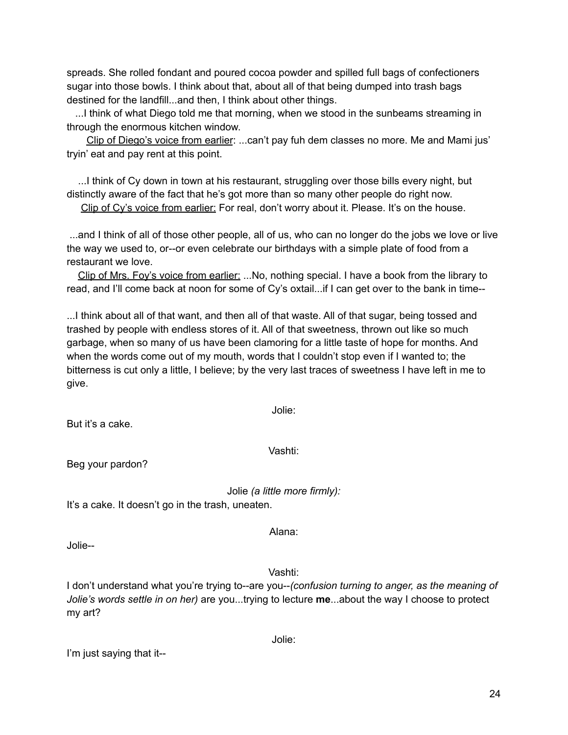spreads. She rolled fondant and poured cocoa powder and spilled full bags of confectioners sugar into those bowls. I think about that, about all of that being dumped into trash bags destined for the landfill...and then, I think about other things.

...I think of what Diego told me that morning, when we stood in the sunbeams streaming in through the enormous kitchen window.

Clip of Diego's voice from earlier: ...can't pay fuh dem classes no more. Me and Mami jus' tryin' eat and pay rent at this point.

...I think of Cy down in town at his restaurant, struggling over those bills every night, but distinctly aware of the fact that he's got more than so many other people do right now. Clip of Cy's voice from earlier: For real, don't worry about it. Please. It's on the house.

...and I think of all of those other people, all of us, who can no longer do the jobs we love or live the way we used to, or--or even celebrate our birthdays with a simple plate of food from a restaurant we love.

Clip of Mrs. Foy's voice from earlier: ...No, nothing special. I have a book from the library to read, and I'll come back at noon for some of Cy's oxtail...if I can get over to the bank in time--

...I think about all of that want, and then all of that waste. All of that sugar, being tossed and trashed by people with endless stores of it. All of that sweetness, thrown out like so much garbage, when so many of us have been clamoring for a little taste of hope for months. And when the words come out of my mouth, words that I couldn't stop even if I wanted to; the bitterness is cut only a little, I believe; by the very last traces of sweetness I have left in me to give.

Jolie:

But it's a cake.

Vashti:

Beg your pardon?

Jolie *(a little more firmly):*

It's a cake. It doesn't go in the trash, uneaten.

Jolie--

Vashti:

Alana:

I don't understand what you're trying to--are you--*(confusion turning to anger, as the meaning of Jolie's words settle in on her)* are you...trying to lecture **me**...about the way I choose to protect my art?

Jolie:

I'm just saying that it--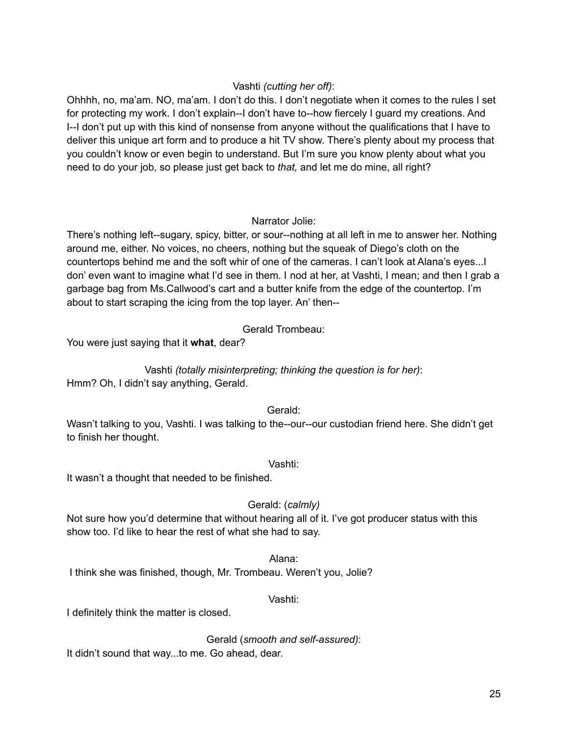## Vashti *(cutting her off)*:

Ohhhh, no, ma'am. NO, ma'am. I don't do this. I don't negotiate when it comes to the rules I set for protecting my work. I don't explain--I don't have to--how fiercely I guard my creations. And I--I don't put up with this kind of nonsense from anyone without the qualifications that I have to deliver this unique art form and to produce a hit TV show. There's plenty about my process that you couldn't know or even begin to understand. But I'm sure you know plenty about what you need to do your job, so please just get back to *that,* and let me do mine, all right?

## Narrator Jolie:

There's nothing left--sugary, spicy, bitter, or sour--nothing at all left in me to answer her. Nothing around me, either. No voices, no cheers, nothing but the squeak of Diego's cloth on the countertops behind me and the soft whir of one of the cameras. I can't look at Alana's eyes...I don' even want to imagine what I'd see in them. I nod at her, at Vashti, I mean; and then I grab a garbage bag from Ms.Callwood's cart and a butter knife from the edge of the countertop. I'm about to start scraping the icing from the top layer. An' then--

Gerald Trombeau:

You were just saying that it **what**, dear?

Vashti *(totally misinterpreting; thinking the question is for her)*:

Hmm? Oh, I didn't say anything, Gerald.

Gerald:

Wasn't talking to you, Vashti. I was talking to the--our--our custodian friend here. She didn't get to finish her thought.

Vashti:

It wasn't a thought that needed to be finished.

## Gerald: (*calmly)*

Not sure how you'd determine that without hearing all of it. I've got producer status with this show too. I'd like to hear the rest of what she had to say.

Alana:

I think she was finished, though, Mr. Trombeau. Weren't you, Jolie?

## Vashti:

I definitely think the matter is closed.

Gerald (*smooth and self-assured)*:

It didn't sound that way...to me. Go ahead, dear.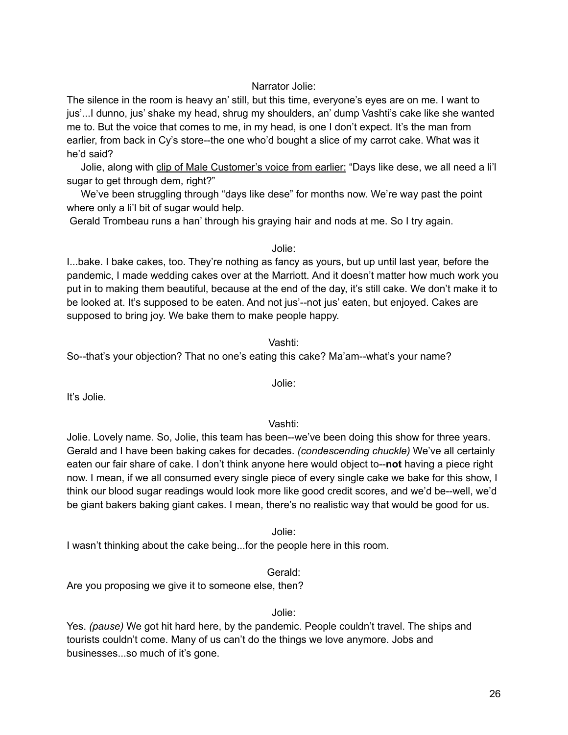## Narrator Jolie:

The silence in the room is heavy an' still, but this time, everyone's eyes are on me. I want to jus'...I dunno, jus' shake my head, shrug my shoulders, an' dump Vashti's cake like she wanted me to. But the voice that comes to me, in my head, is one I don't expect. It's the man from earlier, from back in Cy's store--the one who'd bought a slice of my carrot cake. What was it he'd said?

Jolie, along with clip of Male Customer's voice from earlier: "Days like dese, we all need a li'l sugar to get through dem, right?"

We've been struggling through "days like dese" for months now. We're way past the point where only a li'l bit of sugar would help.

Gerald Trombeau runs a han' through his graying hair and nods at me. So I try again.

#### Jolie:

I...bake. I bake cakes, too. They're nothing as fancy as yours, but up until last year, before the pandemic, I made wedding cakes over at the Marriott. And it doesn't matter how much work you put in to making them beautiful, because at the end of the day, it's still cake. We don't make it to be looked at. It's supposed to be eaten. And not jus'--not jus' eaten, but enjoyed. Cakes are supposed to bring joy. We bake them to make people happy.

#### Vashti:

Jolie:

So--that's your objection? That no one's eating this cake? Ma'am--what's your name?

It's Jolie.

Vashti:

Jolie. Lovely name. So, Jolie, this team has been--we've been doing this show for three years. Gerald and I have been baking cakes for decades. *(condescending chuckle)* We've all certainly eaten our fair share of cake. I don't think anyone here would object to--**not** having a piece right now. I mean, if we all consumed every single piece of every single cake we bake for this show, I think our blood sugar readings would look more like good credit scores, and we'd be--well, we'd be giant bakers baking giant cakes. I mean, there's no realistic way that would be good for us.

Jolie:

I wasn't thinking about the cake being...for the people here in this room.

Gerald:

Are you proposing we give it to someone else, then?

#### Jolie:

Yes. *(pause)* We got hit hard here, by the pandemic. People couldn't travel. The ships and tourists couldn't come. Many of us can't do the things we love anymore. Jobs and businesses...so much of it's gone.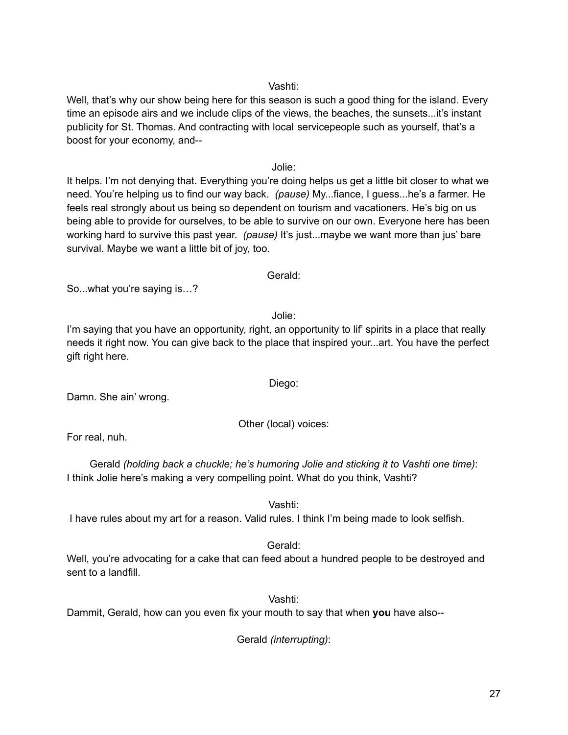27

## Vashti:

Well, that's why our show being here for this season is such a good thing for the island. Every time an episode airs and we include clips of the views, the beaches, the sunsets...it's instant publicity for St. Thomas. And contracting with local servicepeople such as yourself, that's a boost for your economy, and--

Jolie:

It helps. I'm not denying that. Everything you're doing helps us get a little bit closer to what we need. You're helping us to find our way back. *(pause)* My...fiance, I guess...he's a farmer. He feels real strongly about us being so dependent on tourism and vacationers. He's big on us being able to provide for ourselves, to be able to survive on our own. Everyone here has been working hard to survive this past year. *(pause)* It's just...maybe we want more than jus' bare survival. Maybe we want a little bit of joy, too.

Gerald:

So...what you're saying is…?

Jolie:

I'm saying that you have an opportunity, right, an opportunity to lif' spirits in a place that really needs it right now. You can give back to the place that inspired your...art. You have the perfect gift right here.

Damn. She ain' wrong.

Other (local) voices:

For real, nuh.

Gerald *(holding back a chuckle; he's humoring Jolie and sticking it to Vashti one time)*: I think Jolie here's making a very compelling point. What do you think, Vashti?

Vashti:

I have rules about my art for a reason. Valid rules. I think I'm being made to look selfish.

Gerald:

Well, you're advocating for a cake that can feed about a hundred people to be destroyed and sent to a landfill.

Vashti:

Dammit, Gerald, how can you even fix your mouth to say that when **you** have also--

Gerald *(interrupting)*:

Diego: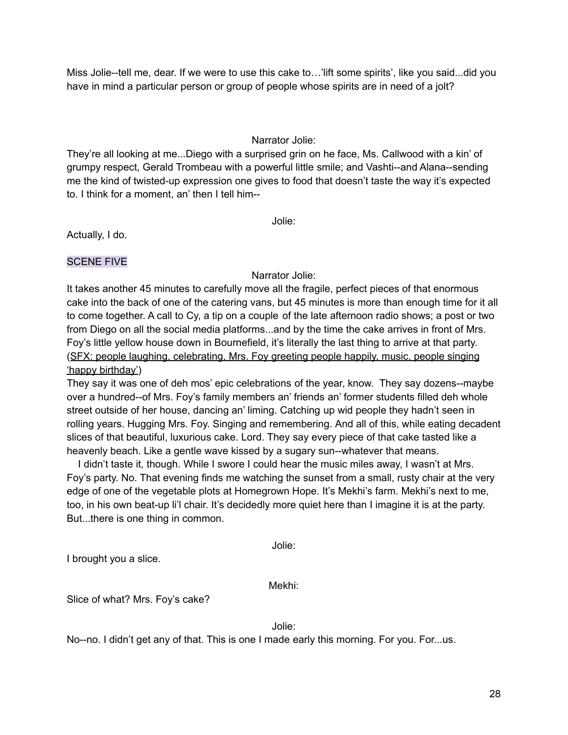Miss Jolie--tell me, dear. If we were to use this cake to…'lift some spirits', like you said...did you have in mind a particular person or group of people whose spirits are in need of a jolt?

## Narrator Jolie:

They're all looking at me...Diego with a surprised grin on he face, Ms. Callwood with a kin' of grumpy respect, Gerald Trombeau with a powerful little smile; and Vashti--and Alana--sending me the kind of twisted-up expression one gives to food that doesn't taste the way it's expected to. I think for a moment, an' then I tell him--

Jolie:

Actually, I do.

#### SCENE FIVE

#### Narrator Jolie:

It takes another 45 minutes to carefully move all the fragile, perfect pieces of that enormous cake into the back of one of the catering vans, but 45 minutes is more than enough time for it all to come together. A call to Cy, a tip on a couple of the late afternoon radio shows; a post or two from Diego on all the social media platforms...and by the time the cake arrives in front of Mrs. Foy's little yellow house down in Bournefield, it's literally the last thing to arrive at that party. (SFX: people laughing, celebrating, Mrs. Foy greeting people happily, music, people singing 'happy birthday')

They say it was one of deh mos' epic celebrations of the year, know. They say dozens--maybe over a hundred--of Mrs. Foy's family members an' friends an' former students filled deh whole street outside of her house, dancing an' liming. Catching up wid people they hadn't seen in rolling years. Hugging Mrs. Foy. Singing and remembering. And all of this, while eating decadent slices of that beautiful, luxurious cake. Lord. They say every piece of that cake tasted like a heavenly beach. Like a gentle wave kissed by a sugary sun--whatever that means.

I didn't taste it, though. While I swore I could hear the music miles away, I wasn't at Mrs. Foy's party. No. That evening finds me watching the sunset from a small, rusty chair at the very edge of one of the vegetable plots at Homegrown Hope. It's Mekhi's farm. Mekhi's next to me, too, in his own beat-up li'l chair. It's decidedly more quiet here than I imagine it is at the party. But...there is one thing in common.

Jolie:

I brought you a slice.

Mekhi:

Slice of what? Mrs. Foy's cake?

Jolie:

No--no. I didn't get any of that. This is one I made early this morning. For you. For...us.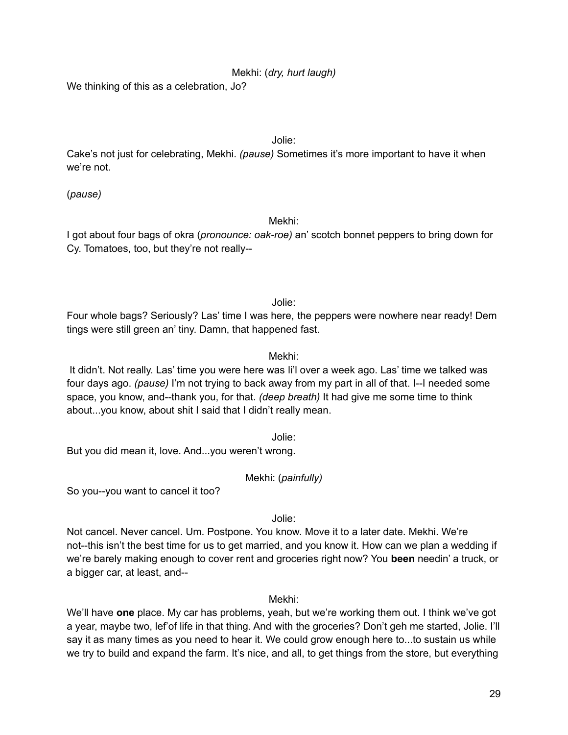## Mekhi: (*dry, hurt laugh)*

We thinking of this as a celebration, Jo?

#### Jolie:

Cake's not just for celebrating, Mekhi. *(pause)* Sometimes it's more important to have it when we're not.

(*pause)*

#### Mekhi:

I got about four bags of okra (*pronounce: oak-roe)* an' scotch bonnet peppers to bring down for Cy. Tomatoes, too, but they're not really--

Jolie:

Four whole bags? Seriously? Las' time I was here, the peppers were nowhere near ready! Dem tings were still green an' tiny. Damn, that happened fast.

## Mekhi:

It didn't. Not really. Las' time you were here was li'l over a week ago. Las' time we talked was four days ago. *(pause)* I'm not trying to back away from my part in all of that. I--I needed some space, you know, and--thank you, for that. *(deep breath)* It had give me some time to think about...you know, about shit I said that I didn't really mean.

Jolie:

But you did mean it, love. And...you weren't wrong.

Mekhi: (*painfully)*

So you--you want to cancel it too?

Jolie:

Not cancel. Never cancel. Um. Postpone. You know. Move it to a later date. Mekhi. We're not--this isn't the best time for us to get married, and you know it. How can we plan a wedding if we're barely making enough to cover rent and groceries right now? You **been** needin' a truck, or a bigger car, at least, and--

Mekhi:

We'll have **one** place. My car has problems, yeah, but we're working them out. I think we've got a year, maybe two, lef'of life in that thing. And with the groceries? Don't geh me started, Jolie. I'll say it as many times as you need to hear it. We could grow enough here to...to sustain us while we try to build and expand the farm. It's nice, and all, to get things from the store, but everything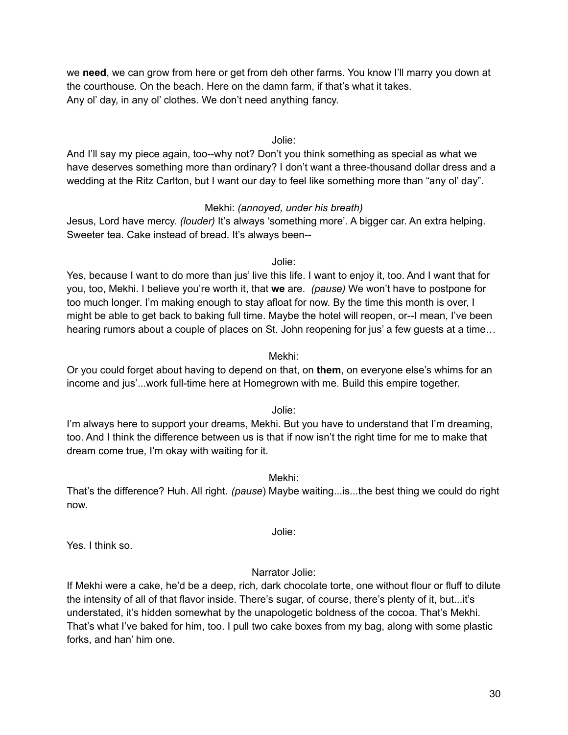we **need**, we can grow from here or get from deh other farms. You know I'll marry you down at the courthouse. On the beach. Here on the damn farm, if that's what it takes. Any ol' day, in any ol' clothes. We don't need anything fancy.

#### Jolie:

And I'll say my piece again, too--why not? Don't you think something as special as what we have deserves something more than ordinary? I don't want a three-thousand dollar dress and a wedding at the Ritz Carlton, but I want our day to feel like something more than "any ol' day".

#### Mekhi: *(annoyed, under his breath)*

Jesus, Lord have mercy. *(louder)* It's always 'something more'. A bigger car. An extra helping. Sweeter tea. Cake instead of bread. It's always been--

#### Jolie:

Yes, because I want to do more than jus' live this life. I want to enjoy it, too. And I want that for you, too, Mekhi. I believe you're worth it, that **we** are. *(pause)* We won't have to postpone for too much longer. I'm making enough to stay afloat for now. By the time this month is over, I might be able to get back to baking full time. Maybe the hotel will reopen, or--I mean, I've been hearing rumors about a couple of places on St. John reopening for jus' a few guests at a time…

#### Mekhi:

Or you could forget about having to depend on that, on **them**, on everyone else's whims for an income and jus'...work full-time here at Homegrown with me. Build this empire together.

Jolie:

I'm always here to support your dreams, Mekhi. But you have to understand that I'm dreaming, too. And I think the difference between us is that if now isn't the right time for me to make that dream come true, I'm okay with waiting for it.

Mekhi:

That's the difference? Huh. All right. *(pause*) Maybe waiting...is...the best thing we could do right now.

Jolie:

Yes. I think so.

#### Narrator Jolie:

If Mekhi were a cake, he'd be a deep, rich, dark chocolate torte, one without flour or fluff to dilute the intensity of all of that flavor inside. There's sugar, of course, there's plenty of it, but...it's understated, it's hidden somewhat by the unapologetic boldness of the cocoa. That's Mekhi. That's what I've baked for him, too. I pull two cake boxes from my bag, along with some plastic forks, and han' him one.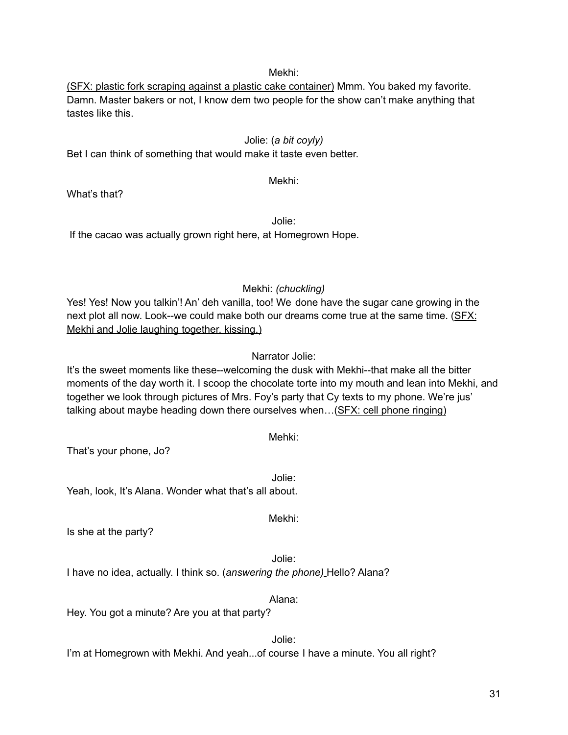#### Mekhi:

(SFX: plastic fork scraping against a plastic cake container) Mmm. You baked my favorite. Damn. Master bakers or not, I know dem two people for the show can't make anything that tastes like this.

#### Jolie: (*a bit coyly)*

Bet I can think of something that would make it taste even better.

## Mekhi:

What's that?

Jolie: If the cacao was actually grown right here, at Homegrown Hope.

#### Mekhi: *(chuckling)*

Yes! Yes! Now you talkin'! An' deh vanilla, too! We done have the sugar cane growing in the next plot all now. Look--we could make both our dreams come true at the same time. (SFX: Mekhi and Jolie laughing together, kissing.)

#### Narrator Jolie:

It's the sweet moments like these--welcoming the dusk with Mekhi--that make all the bitter moments of the day worth it. I scoop the chocolate torte into my mouth and lean into Mekhi, and together we look through pictures of Mrs. Foy's party that Cy texts to my phone. We're jus' talking about maybe heading down there ourselves when…(SFX: cell phone ringing)

| That's your phone, Jo?                                                    | Mehki: |
|---------------------------------------------------------------------------|--------|
| Yeah, look, It's Alana. Wonder what that's all about.                     | Jolie: |
| Is she at the party?                                                      | Mekhi: |
| I have no idea, actually. I think so. (answering the phone) Hello? Alana? | Jolie: |
| Hey. You got a minute? Are you at that party?                             | Alana: |
|                                                                           | Jolie: |

I'm at Homegrown with Mekhi. And yeah...of course I have a minute. You all right?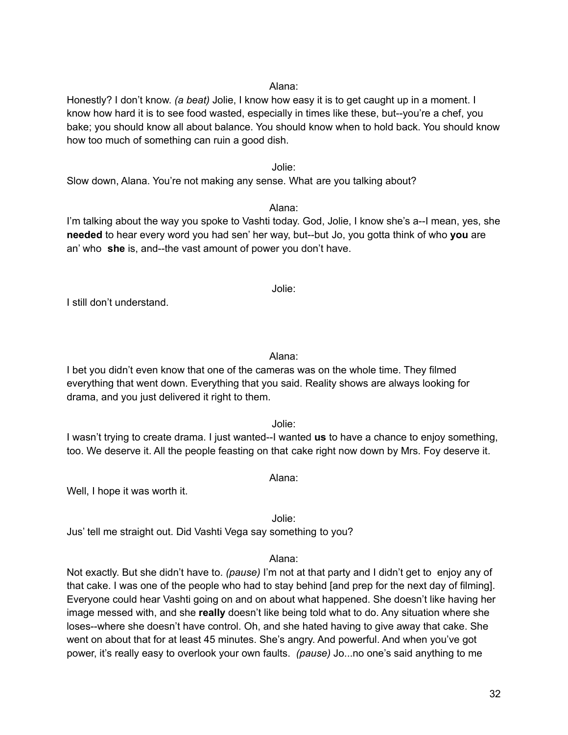#### Alana:

Honestly? I don't know. *(a beat)* Jolie, I know how easy it is to get caught up in a moment. I know how hard it is to see food wasted, especially in times like these, but--you're a chef, you bake; you should know all about balance. You should know when to hold back. You should know how too much of something can ruin a good dish.

#### Jolie:

Slow down, Alana. You're not making any sense. What are you talking about?

#### Alana:

I'm talking about the way you spoke to Vashti today. God, Jolie, I know she's a--I mean, yes, she **needed** to hear every word you had sen' her way, but--but Jo, you gotta think of who **you** are an' who **she** is, and--the vast amount of power you don't have.

Jolie:

I still don't understand.

Alana:

I bet you didn't even know that one of the cameras was on the whole time. They filmed everything that went down. Everything that you said. Reality shows are always looking for drama, and you just delivered it right to them.

Jolie:

I wasn't trying to create drama. I just wanted--I wanted **us** to have a chance to enjoy something, too. We deserve it. All the people feasting on that cake right now down by Mrs. Foy deserve it.

Alana:

Well, I hope it was worth it.

Jolie:

Jus' tell me straight out. Did Vashti Vega say something to you?

#### Alana:

Not exactly. But she didn't have to. *(pause)* I'm not at that party and I didn't get to enjoy any of that cake. I was one of the people who had to stay behind [and prep for the next day of filming]. Everyone could hear Vashti going on and on about what happened. She doesn't like having her image messed with, and she **really** doesn't like being told what to do. Any situation where she loses--where she doesn't have control. Oh, and she hated having to give away that cake. She went on about that for at least 45 minutes. She's angry. And powerful. And when you've got power, it's really easy to overlook your own faults. *(pause)* Jo...no one's said anything to me